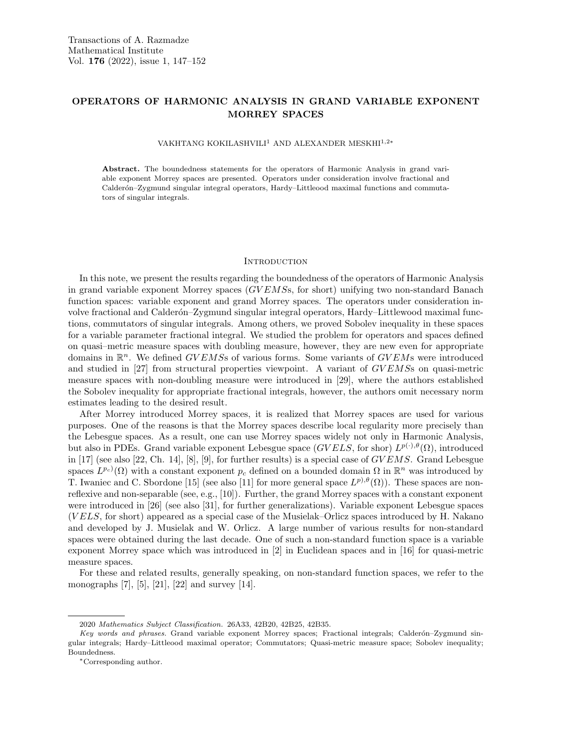# OPERATORS OF HARMONIC ANALYSIS IN GRAND VARIABLE EXPONENT MORREY SPACES

VAKHTANG KOKILASHVILI<sup>1</sup> AND ALEXANDER MESKHI<sup>1,2∗</sup>

Abstract. The boundedness statements for the operators of Harmonic Analysis in grand variable exponent Morrey spaces are presented. Operators under consideration involve fractional and Calderón–Zygmund singular integral operators, Hardy–Littleood maximal functions and commutators of singular integrals.

## **INTRODUCTION**

In this note, we present the results regarding the boundedness of the operators of Harmonic Analysis in grand variable exponent Morrey spaces  $(GVEMS, for short)$  unifying two non-standard Banach function spaces: variable exponent and grand Morrey spaces. The operators under consideration involve fractional and Calderón–Zygmund singular integral operators, Hardy–Littlewood maximal functions, commutators of singular integrals. Among others, we proved Sobolev inequality in these spaces for a variable parameter fractional integral. We studied the problem for operators and spaces defined on quasi–metric measure spaces with doubling measure, however, they are new even for appropriate domains in  $\mathbb{R}^n$ . We defined GVEMSs of various forms. Some variants of GVEMs were introduced and studied in [27] from structural properties viewpoint. A variant of GVEMSs on quasi-metric measure spaces with non-doubling measure were introduced in [29], where the authors established the Sobolev inequality for appropriate fractional integrals, however, the authors omit necessary norm estimates leading to the desired result.

After Morrey introduced Morrey spaces, it is realized that Morrey spaces are used for various purposes. One of the reasons is that the Morrey spaces describe local regularity more precisely than the Lebesgue spaces. As a result, one can use Morrey spaces widely not only in Harmonic Analysis, but also in PDEs. Grand variable exponent Lebesgue space  $(GVELS,$  for shor)  $L^{p(\cdot),\theta}(\Omega)$ , introduced in [17] (see also [22, Ch. 14], [8], [9], for further results) is a special case of  $GVEMS$ . Grand Lebesgue spaces  $L^{p_c}(\Omega)$  with a constant exponent  $p_c$  defined on a bounded domain  $\Omega$  in  $\mathbb{R}^n$  was introduced by T. Iwaniec and C. Sbordone [15] (see also [11] for more general space  $L^{p, \theta}(\Omega)$ ). These spaces are nonreflexive and non-separable (see, e.g., [10]). Further, the grand Morrey spaces with a constant exponent were introduced in [26] (see also [31], for further generalizations). Variable exponent Lebesgue spaces (V ELS, for short) appeared as a special case of the Musielak–Orlicz spaces introduced by H. Nakano and developed by J. Musielak and W. Orlicz. A large number of various results for non-standard spaces were obtained during the last decade. One of such a non-standard function space is a variable exponent Morrey space which was introduced in [2] in Euclidean spaces and in [16] for quasi-metric measure spaces.

For these and related results, generally speaking, on non-standard function spaces, we refer to the monographs [7], [5], [21], [22] and survey [14].

<sup>2020</sup> Mathematics Subject Classification. 26A33, 42B20, 42B25, 42B35.

Key words and phrases. Grand variable exponent Morrey spaces; Fractional integrals; Calderón-Zygmund singular integrals; Hardy–Littleood maximal operator; Commutators; Quasi-metric measure space; Sobolev inequality; Boundedness.

<sup>∗</sup>Corresponding author.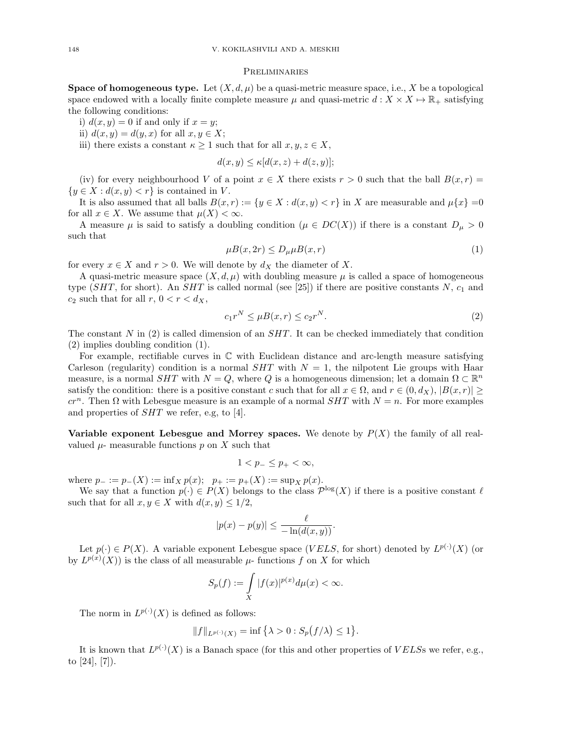## Preliminaries

**Space of homogeneous type.** Let  $(X, d, \mu)$  be a quasi-metric measure space, i.e., X be a topological space endowed with a locally finite complete measure  $\mu$  and quasi-metric  $d: X \times X \mapsto \mathbb{R}_+$  satisfying the following conditions:

i)  $d(x, y) = 0$  if and only if  $x = y$ ;

ii)  $d(x, y) = d(y, x)$  for all  $x, y \in X$ ;

iii) there exists a constant  $\kappa \geq 1$  such that for all  $x, y, z \in X$ ,

$$
d(x, y) \le \kappa [d(x, z) + d(z, y)];
$$

(iv) for every neighbourhood V of a point  $x \in X$  there exists  $r > 0$  such that the ball  $B(x, r) =$  ${y \in X : d(x, y) < r}$  is contained in V.

It is also assumed that all balls  $B(x, r) := \{y \in X : d(x, y) < r\}$  in X are measurable and  $\mu\{x\} = 0$ for all  $x \in X$ . We assume that  $\mu(X) < \infty$ .

A measure  $\mu$  is said to satisfy a doubling condition  $(\mu \in DC(X))$  if there is a constant  $D_{\mu} > 0$ such that

$$
\mu B(x, 2r) \le D_{\mu}\mu B(x, r) \tag{1}
$$

for every  $x \in X$  and  $r > 0$ . We will denote by  $d_X$  the diameter of X.

A quasi-metric measure space  $(X, d, \mu)$  with doubling measure  $\mu$  is called a space of homogeneous type (SHT, for short). An SHT is called normal (see [25]) if there are positive constants N,  $c_1$  and  $c_2$  such that for all  $r, 0 < r < d_X$ ,

$$
c_1 r^N \le \mu B(x, r) \le c_2 r^N. \tag{2}
$$

The constant N in  $(2)$  is called dimension of an  $SHT$ . It can be checked immediately that condition (2) implies doubling condition (1).

For example, rectifiable curves in  $\mathbb C$  with Euclidean distance and arc-length measure satisfying Carleson (regularity) condition is a normal  $SHT$  with  $N = 1$ , the nilpotent Lie groups with Haar measure, is a normal  $SHT$  with  $N = Q$ , where Q is a homogeneous dimension; let a domain  $\Omega \subset \mathbb{R}^n$ satisfy the condition: there is a positive constant c such that for all  $x \in \Omega$ , and  $r \in (0, d_X)$ ,  $|B(x, r)| \ge$  $cr^n$ . Then  $\Omega$  with Lebesgue measure is an example of a normal  $SHT$  with  $N = n$ . For more examples and properties of SHT we refer, e.g, to [4].

Variable exponent Lebesgue and Morrey spaces. We denote by  $P(X)$  the family of all realvalued  $\mu$ - measurable functions  $p$  on  $X$  such that

$$
1 < p_- \le p_+ < \infty
$$

where  $p_- := p_-(X) := \inf_X p(x); \quad p_+ := p_+(X) := \sup_X p(x).$ 

We say that a function  $p(\cdot) \in P(X)$  belongs to the class  $\mathcal{P}^{\log}(X)$  if there is a positive constant  $\ell$ such that for all  $x, y \in X$  with  $d(x, y) \leq 1/2$ ,

$$
|p(x) - p(y)| \le \frac{\ell}{-\ln(d(x, y))}.
$$

Let  $p(\cdot) \in P(X)$ . A variable exponent Lebesgue space (VELS, for short) denoted by  $L^{p(\cdot)}(X)$  (or by  $L^{p(x)}(X)$  is the class of all measurable  $\mu$ -functions f on X for which

$$
S_p(f) := \int\limits_X |f(x)|^{p(x)} d\mu(x) < \infty.
$$

The norm in  $L^{p(\cdot)}(X)$  is defined as follows:

$$
||f||_{L^{p(\cdot)}(X)} = \inf \{ \lambda > 0 : S_p(f/\lambda) \le 1 \}.
$$

It is known that  $L^{p(\cdot)}(X)$  is a Banach space (for this and other properties of VELSs we refer, e.g., to [24], [7]).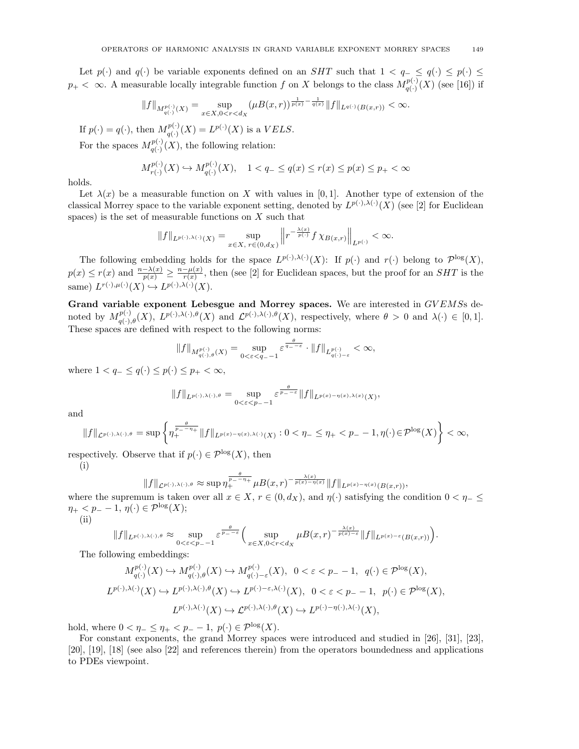Let  $p(\cdot)$  and  $q(\cdot)$  be variable exponents defined on an SHT such that  $1 < q_- \le q(\cdot) \le p(\cdot) \le$  $p_+ < \infty$ . A measurable locally integrable function f on X belongs to the class  $M_{q(.)}^{p(.)}$  $q^{(1)}(X)$  (see [16]) if

$$
||f||_{M_{q(\cdot)}^{p(\cdot)}(X)} = \sup_{x \in X, 0 < r < d_X} (\mu B(x, r))^\frac{1}{p(x)} - \frac{1}{q(x)} ||f||_{L^{q(\cdot)}(B(x, r))} < \infty.
$$

If  $p(\cdot) = q(\cdot)$ , then  $M_{q(\cdot)}^{p(\cdot)}$  $q(\cdot)$ <sup> $p(\cdot)$ </sup> $(X)$  is a *VELS*.

For the spaces  $M_{a(.)}^{p(.)}$  $q(\cdot)$ <sup> $p(\cdot)$ </sup> $(X)$ , the following relation:

$$
M_{r(\cdot)}^{p(\cdot)}(X) \hookrightarrow M_{q(\cdot)}^{p(\cdot)}(X), \quad 1 < q_- \le q(x) \le r(x) \le p(x) \le p_+ < \infty
$$

holds.

Let  $\lambda(x)$  be a measurable function on X with values in [0,1]. Another type of extension of the classical Morrey space to the variable exponent setting, denoted by  $L^{p(\cdot),\lambda(\cdot)}(X)$  (see [2] for Euclidean spaces) is the set of measurable functions on  $X$  such that

$$
||f||_{L^{p(\cdot),\lambda(\cdot)}(X)} = \sup_{x \in X, r \in (0,d_X)} \left||r^{-\frac{\lambda(x)}{p(\cdot)}} f \chi_{B(x,r)}\right||_{L^{p(\cdot)}} < \infty.
$$

The following embedding holds for the space  $L^{p(\cdot),\lambda(\cdot)}(X)$ : If  $p(\cdot)$  and  $r(\cdot)$  belong to  $\mathcal{P}^{\log}(X)$ ,  $p(x) \leq r(x)$  and  $\frac{n-\lambda(x)}{p(x)} \geq \frac{n-\mu(x)}{r(x)}$  $\frac{-\mu(x)}{r(x)}$ , then (see [2] for Euclidean spaces, but the proof for an  $SHT$  is the same)  $L^{r(\cdot),\mu(\cdot)}(X) \hookrightarrow L^{p(\cdot),\lambda(\cdot)}(X)$ .

Grand variable exponent Lebesgue and Morrey spaces. We are interested in GVEMSs denoted by  $M_{q(\cdot),\theta}^{p(\cdot)}(X), L^{p(\cdot),\lambda(\cdot),\theta}(X)$  and  $\mathcal{L}^{p(\cdot),\lambda(\cdot),\theta}(X)$ , respectively, where  $\theta > 0$  and  $\lambda(\cdot) \in [0,1]$ . These spaces are defined with respect to the following norms:

$$
||f||_{M_{q(\cdot),\theta}^{p(\cdot)}(X)} = \sup_{0 < \varepsilon < q-1} \varepsilon^{\frac{\theta}{q_--\varepsilon}} \cdot ||f||_{L_{q(\cdot)-\varepsilon}^{p(\cdot)}} < \infty,
$$

where  $1 < q_- \leq q(\cdot) \leq p(\cdot) \leq p_+ < \infty$ ,

$$
||f||_{L^{p(\cdot),\lambda(\cdot),\theta}} = \sup_{0 < \varepsilon < p_--1} \varepsilon^{\frac{\theta}{p_--\varepsilon}} ||f||_{L^{p(x)-\eta(x),\lambda(x)}(X)},
$$

and

$$
||f||_{\mathcal{L}^{p(\cdot),\lambda(\cdot),\theta}} = \sup \left\{\eta_+^{\frac{\theta}{p_--\eta_+}}||f||_{L^{p(x)-\eta(x),\lambda(\cdot)}(X)} : 0 < \eta_- \leq \eta_+ < p_- - 1, \eta(\cdot) \in \mathcal{P}^{\log}(X)\right\} < \infty,
$$

respectively. Observe that if  $p(\cdot) \in \mathcal{P}^{\log}(X)$ , then

(i)

$$
||f||_{\mathcal{L}^{p(\cdot),\lambda(\cdot),\theta}} \approx \sup \eta_+^{\frac{\theta}{p_--\eta_+}} \mu B(x,r)^{-\frac{\lambda(x)}{p(x)-\eta(x)}} ||f||_{L^{p(x)-\eta(x)}(B(x,r))},
$$

where the supremum is taken over all  $x \in X$ ,  $r \in (0, d_X)$ , and  $\eta(\cdot)$  satisfying the condition  $0 < \eta_- \le$  $\eta_+ < p_- - 1, \, \eta(\cdot) \in \mathcal{P}^{\log}(X);$ 

(ii)

$$
||f||_{L^{p(\cdot),\lambda(\cdot),\theta}} \approx \sup_{0<\varepsilon\leq p_{-}-1} \varepsilon^{\frac{\theta}{p_{-}-\varepsilon}} \Big(\sup_{x\in X,0\leq r\leq dx} \mu B(x,r)^{-\frac{\lambda(x)}{p(x)-\varepsilon}} ||f||_{L^{p(x)-\varepsilon}(B(x,r))}\Big).
$$

The following embeddings:

$$
\begin{split} M_{q(\cdot)}^{p(\cdot)}(X) &\hookrightarrow M_{q(\cdot),\theta}^{p(\cdot)}(X) \hookrightarrow M_{q(\cdot)-\varepsilon}^{p(\cdot)}(X), \quad 0 < \varepsilon < p_{-} - 1, \quad q(\cdot) \in \mathcal{P}^{\log}(X), \\ L^{p(\cdot),\lambda(\cdot)}(X) &\hookrightarrow L^{p(\cdot),\lambda(\cdot),\theta}(X) \hookrightarrow L^{p(\cdot)-\varepsilon,\lambda(\cdot)}(X), \quad 0 < \varepsilon < p_{-} - 1, \quad p(\cdot) \in \mathcal{P}^{\log}(X), \\ L^{p(\cdot),\lambda(\cdot)}(X) &\hookrightarrow L^{p(\cdot),\lambda(\cdot),\theta}(X) \hookrightarrow L^{p(\cdot)-\eta(\cdot),\lambda(\cdot)}(X), \end{split}
$$

hold, where  $0 < \eta_- \leq \eta_+ < p_- - 1$ ,  $p(\cdot) \in \mathcal{P}^{\log}(X)$ .

For constant exponents, the grand Morrey spaces were introduced and studied in [26], [31], [23], [20], [19], [18] (see also [22] and references therein) from the operators boundedness and applications to PDEs viewpoint.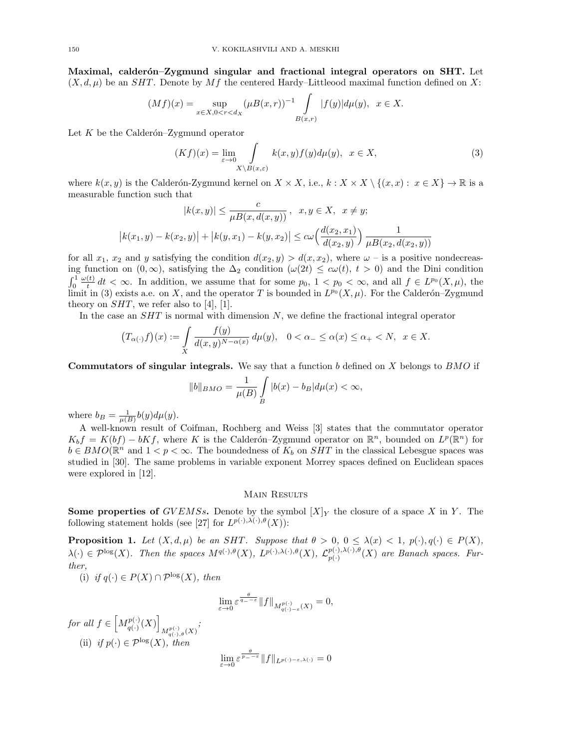Maximal, calderón–Zygmund singular and fractional integral operators on SHT. Let  $(X, d, \mu)$  be an *SHT*. Denote by *Mf* the centered Hardy–Littleood maximal function defined on X:

$$
(Mf)(x) = \sup_{x \in X, 0 < r < dx} (\mu B(x, r))^{-1} \int_{B(x, r)} |f(y)| d\mu(y), \quad x \in X.
$$

Let  $K$  be the Calderón–Zygmund operator

$$
(Kf)(x) = \lim_{\varepsilon \to 0} \int_{X \setminus B(x,\varepsilon)} k(x,y)f(y)d\mu(y), \quad x \in X,\tag{3}
$$

where  $k(x, y)$  is the Calderón-Zygmund kernel on  $X \times X$ , i.e.,  $k : X \times X \setminus \{(x, x) : x \in X\} \to \mathbb{R}$  is a measurable function such that

$$
|k(x,y)| \le \frac{c}{\mu B(x, d(x,y))}, \quad x, y \in X, \quad x \ne y;
$$
  

$$
|k(x_1, y) - k(x_2, y)| + |k(y, x_1) - k(y, x_2)| \le c\omega \left(\frac{d(x_2, x_1)}{d(x_2, y)}\right) \frac{1}{\mu B(x_2, d(x_2, y))}
$$

for all  $x_1, x_2$  and y satisfying the condition  $d(x_2, y) > d(x, x_2)$ , where  $\omega$  – is a positive nondecreasing function on  $(0, \infty)$ , satisfying the  $\Delta_2$  condition  $(\omega(2t) \leq c\omega(t), t > 0)$  and the Dini condition  $\int_0^1$  $\omega(t)$  $\frac{d(t)}{dt} dt < \infty$ . In addition, we assume that for some  $p_0$ ,  $1 < p_0 < \infty$ , and all  $f \in L^{p_0}(X, \mu)$ , the limit in (3) exists a.e. on X, and the operator T is bounded in  $L^{p_0}(X,\mu)$ . For the Calderón–Zygmund theory on  $SHT$ , we refer also to [4], [1].

In the case an  $SHT$  is normal with dimension  $N$ , we define the fractional integral operator

$$
(T_{\alpha(\cdot)}f)(x) := \int\limits_X \frac{f(y)}{d(x,y)^{N-\alpha(x)}} d\mu(y), \quad 0 < \alpha_- \le \alpha(x) \le \alpha_+ < N, \quad x \in X.
$$

Commutators of singular integrals. We say that a function b defined on X belongs to BMO if

$$
||b||_{BMO} = \frac{1}{\mu(B)} \int_{B} |b(x) - b_B| d\mu(x) < \infty,
$$

where  $b_B = \frac{1}{\mu(B)}b(y)d\mu(y)$ .

A well-known result of Coifman, Rochberg and Weiss [3] states that the commutator operator  $K_b f = K(bf) - bKf$ , where K is the Calderón–Zygmund operator on  $\mathbb{R}^n$ , bounded on  $L^p(\mathbb{R}^n)$  for  $b \in BMO(\mathbb{R}^n)$  and  $1 < p < \infty$ . The boundedness of  $K_b$  on  $SHT$  in the classical Lebesgue spaces was studied in [30]. The same problems in variable exponent Morrey spaces defined on Euclidean spaces were explored in [12].

# Main Results

**Some properties of** GVEMSs. Denote by the symbol  $[X]_Y$  the closure of a space X in Y. The following statement holds (see [27] for  $L^{p(\cdot),\lambda(\cdot),\theta}(X)$ ):

**Proposition 1.** Let  $(X, d, \mu)$  be an SHT. Suppose that  $\theta > 0$ ,  $0 \leq \lambda(x) < 1$ ,  $p(\cdot), q(\cdot) \in P(X)$ ,  $\lambda(\cdot) \in \mathcal{P}^{\log}(X)$ . Then the spaces  $M^{q(\cdot),\theta}(X), L^{p(\cdot),\lambda(\cdot),\theta}(X), L^{p(\cdot),\lambda(\cdot),\theta}(X)$  $p_{p(\cdot)}^{(r),\lambda(\cdot),\sigma}(X)$  are Banach spaces. Further,

(i) if  $q(\cdot) \in P(X) \cap \mathcal{P}^{\log}(X)$ , then

$$
\lim_{\varepsilon \to 0} \varepsilon^{\frac{\theta}{q_- - \varepsilon}} \|f\|_{M^{p(\cdot)}_{q(\cdot) - \varepsilon}(X)} = 0,
$$

for all  $f \in \left[ M_{a(.)}^{p(.)} \right]$  $\left[\begin{smallmatrix} p(\cdot)\ q(\cdot) (X) \end{smallmatrix}\right]$  $M_{q( \cdot ) , \theta}^{p( \cdot )}(X)$ ; (ii) if  $p(\cdot) \in \mathcal{P}^{\log}(X)$ , then  $\lim_{\varepsilon\to 0} \varepsilon^{\frac{\theta}{p_--\varepsilon}} \|f\|_{L^{p(\cdot)-\varepsilon,\lambda(\cdot)}}=0$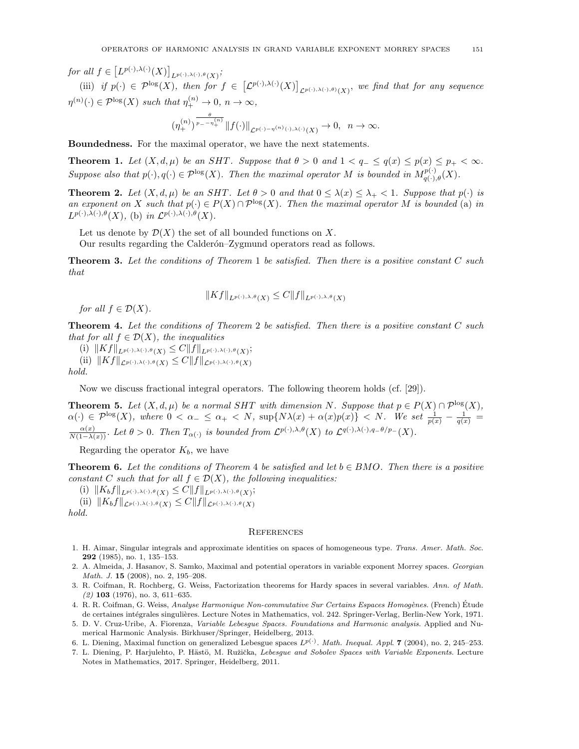for all  $f \in \left[ L^{p(\cdot),\lambda(\cdot)}(X) \right]_{L^{p(\cdot),\lambda(\cdot),\theta}(X)}$ ;

(iii) if  $p(\cdot) \in \mathcal{P}^{\log}(X)$ , then for  $f \in \left[\mathcal{L}^{p(\cdot),\lambda(\cdot)}(X)\right]_{\mathcal{L}^{p(\cdot),\lambda(\cdot),\theta)}(X)}$ , we find that for any sequence  $\eta^{(n)}(\cdot) \in \mathcal{P}^{\log}(X)$  such that  $\eta_{+}^{(n)} \to 0$ ,  $n \to \infty$ ,

$$
(\eta^{(n)}_+)^{\frac{\theta}{p_--\eta^{(n)}_+}} \|f(\cdot)\|_{\mathcal{L}^{p(\cdot)-\eta^{(n)}(\cdot),\lambda(\cdot)}(X)}\to 0,\ \ n\to\infty.
$$

Boundedness. For the maximal operator, we have the next statements.

**Theorem 1.** Let  $(X, d, \mu)$  be an SHT. Suppose that  $\theta > 0$  and  $1 < q_- \leq q(x) \leq p(x) \leq p_+ < \infty$ . Suppose also that  $p(\cdot), q(\cdot) \in \mathcal{P}^{\log}(X)$ . Then the maximal operator M is bounded in  $M_{q(\cdot),\theta}^{p(\cdot)}(X)$ .

**Theorem 2.** Let  $(X, d, \mu)$  be an SHT. Let  $\theta > 0$  and that  $0 \le \lambda(x) \le \lambda_{+} < 1$ . Suppose that  $p(\cdot)$  is an exponent on X such that  $p(\cdot) \in P(X) \cap \mathcal{P}^{\log}(X)$ . Then the maximal operator M is bounded (a) in  $L^{p(\cdot),\lambda(\cdot),\theta}(X)$ , (b) in  $\mathcal{L}^{p(\cdot),\lambda(\cdot),\theta}(X)$ .

Let us denote by  $\mathcal{D}(X)$  the set of all bounded functions on X.

Our results regarding the Calderón–Zygmund operators read as follows.

**Theorem 3.** Let the conditions of Theorem 1 be satisfied. Then there is a positive constant  $C$  such that

$$
||Kf||_{L^{p(\cdot),\lambda,\theta}(X)} \leq C||f||_{L^{p(\cdot),\lambda,\theta}(X)}
$$

for all  $f \in \mathcal{D}(X)$ .

**Theorem 4.** Let the conditions of Theorem 2 be satisfied. Then there is a positive constant C such that for all  $f \in \mathcal{D}(X)$ , the inequalities

(i)  $||Kf||_{L^{p(\cdot),\lambda(\cdot),\theta}(X)} \leq C||f||_{L^{p(\cdot),\lambda(\cdot),\theta}(X)};$ (ii)  $||Kf||_{\mathcal{L}^{p(\cdot),\lambda(\cdot),\theta}(X)} \leq C||f||_{\mathcal{L}^{p(\cdot),\lambda(\cdot),\theta}(X)}$ 

hold.

Now we discuss fractional integral operators. The following theorem holds (cf. [29]).

**Theorem 5.** Let  $(X, d, \mu)$  be a normal SHT with dimension N. Suppose that  $p \in P(X) \cap P^{\log}(X)$ ,  $\alpha(\cdot) \in \mathcal{P}^{\log}(X)$ , where  $0 < \alpha_{-} \leq \alpha_{+} < N$ ,  $\sup\{N\lambda(x) + \alpha(x)p(x)\} < N$ . We set  $\frac{1}{p(x)} - \frac{1}{q(x)} =$  $\frac{\alpha(x)}{N(1-\lambda(x))}$ . Let  $\theta > 0$ . Then  $T_{\alpha(\cdot)}$  is bounded from  $\mathcal{L}^{p(\cdot),\lambda,\theta}(X)$  to  $\mathcal{L}^{q(\cdot),\lambda(\cdot),q-\theta/p-}(X)$ .

Regarding the operator  $K_b$ , we have

**Theorem 6.** Let the conditions of Theorem 4 be satisfied and let  $b \in BMO$ . Then there is a positive constant C such that for all  $f \in \mathcal{D}(X)$ , the following inequalities:

(i)  $||K_bf||_{L^{p(\cdot),\lambda(\cdot),\theta}(X)} \leq C||f||_{L^{p(\cdot),\lambda(\cdot),\theta}(X)};$ 

(ii) 
$$
||K_b f||_{\mathcal{L}^{p(\cdot),\lambda(\cdot),\theta}(X)} \leq C ||f||_{\mathcal{L}^{p(\cdot),\lambda(\cdot),\theta}(X)}
$$

hold.

### **REFERENCES**

- 1. H. Aimar, Singular integrals and approximate identities on spaces of homogeneous type. Trans. Amer. Math. Soc. 292 (1985), no. 1, 135–153.
- 2. A. Almeida, J. Hasanov, S. Samko, Maximal and potential operators in variable exponent Morrey spaces. Georgian Math. J. 15 (2008), no. 2, 195-208.
- 3. R. Coifman, R. Rochberg, G. Weiss, Factorization theorems for Hardy spaces in several variables. Ann. of Math.  $(2)$  103  $(1976)$ , no. 3, 611–635.
- 4. R. R. Coifman, G. Weiss, Analyse Harmonique Non-commutative Sur Certains Espaces Homogènes. (French) Étude de certaines intégrales singulières. Lecture Notes in Mathematics, vol. 242. Springer-Verlag, Berlin-New York, 1971.
- 5. D. V. Cruz-Uribe, A. Fiorenza, Variable Lebesgue Spaces. Foundations and Harmonic analysis. Applied and Numerical Harmonic Analysis. Birkhuser/Springer, Heidelberg, 2013.
- 6. L. Diening, Maximal function on generalized Lebesgue spaces  $L^{p(\cdot)}$ . Math. Inequal. Appl. 7 (2004), no. 2, 245–253.
- 7. L. Diening, P. Harjulehto, P. Hästö, M. Ružička, Lebesque and Sobolev Spaces with Variable Exponents. Lecture Notes in Mathematics, 2017. Springer, Heidelberg, 2011.